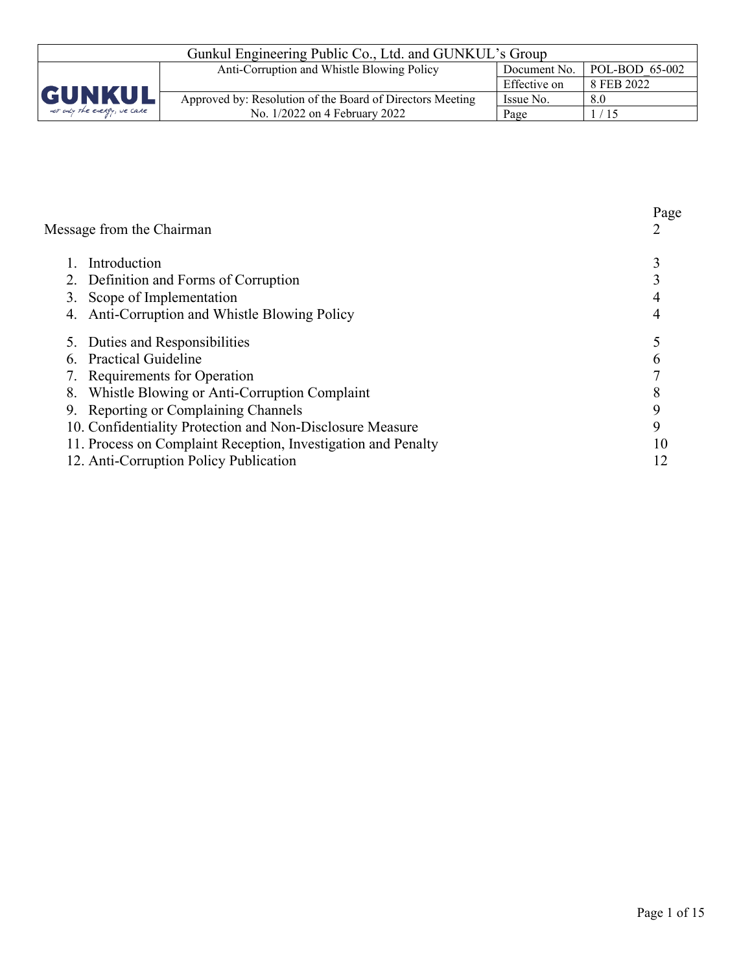| Gunkul Engineering Public Co., Ltd. and GUNKUL's Group                              |                                                           |              |            |  |
|-------------------------------------------------------------------------------------|-----------------------------------------------------------|--------------|------------|--|
| $\mid$ POL-BOD 65-002<br>Anti-Corruption and Whistle Blowing Policy<br>Document No. |                                                           |              |            |  |
|                                                                                     |                                                           | Effective on | 8 FEB 2022 |  |
| <b>GUNKUL</b>                                                                       | Approved by: Resolution of the Board of Directors Meeting | Issue No.    | 8.0        |  |
| not only the energy, we care                                                        | No. 1/2022 on 4 February 2022                             | Page         | 1/15       |  |

| Message from the Chairman                                     | Page<br>2 |
|---------------------------------------------------------------|-----------|
| Introduction                                                  |           |
| 2. Definition and Forms of Corruption                         |           |
| Scope of Implementation                                       |           |
| Anti-Corruption and Whistle Blowing Policy                    |           |
| 5. Duties and Responsibilities                                |           |
| <b>Practical Guideline</b>                                    |           |
| Requirements for Operation                                    |           |
| Whistle Blowing or Anti-Corruption Complaint<br>8.            |           |
| Reporting or Complaining Channels                             | 9         |
| 10. Confidentiality Protection and Non-Disclosure Measure     | 9         |
| 11. Process on Complaint Reception, Investigation and Penalty | 10        |
| 12. Anti-Corruption Policy Publication                        | 12        |
|                                                               |           |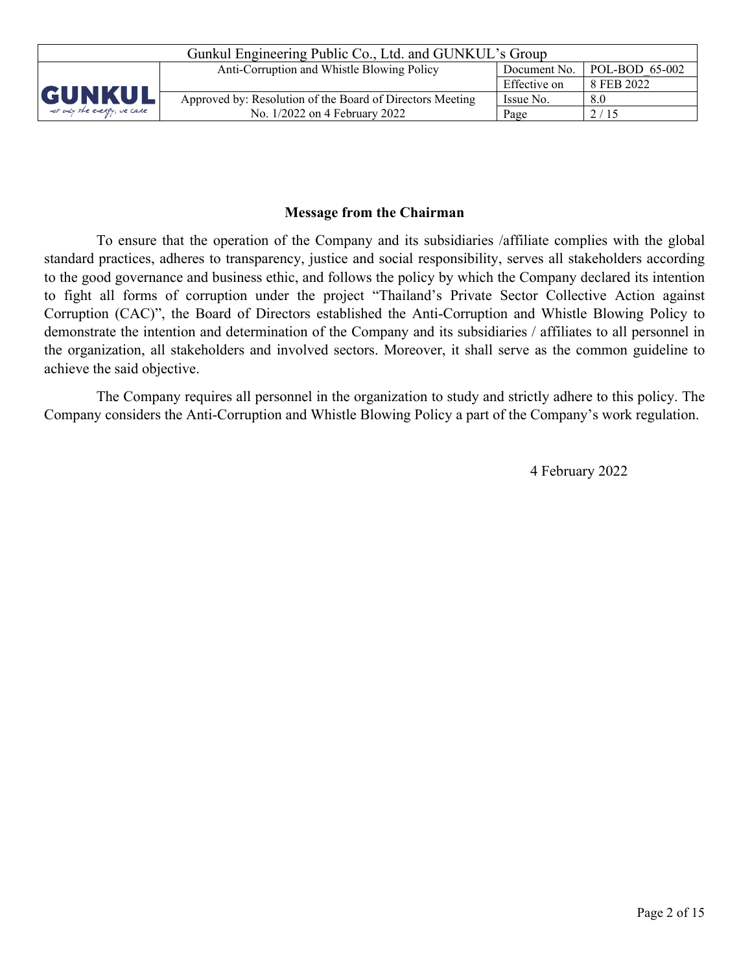| Gunkul Engineering Public Co., Ltd. and GUNKUL's Group |                                                                              |              |            |  |  |
|--------------------------------------------------------|------------------------------------------------------------------------------|--------------|------------|--|--|
|                                                        | POL-BOD 65-002<br>Anti-Corruption and Whistle Blowing Policy<br>Document No. |              |            |  |  |
|                                                        |                                                                              | Effective on | 8 FEB 2022 |  |  |
| <b>GUNKUL</b>                                          | Approved by: Resolution of the Board of Directors Meeting                    | Issue No.    | 8.0        |  |  |
| not only the energy, we care                           | No. 1/2022 on 4 February 2022                                                | Page         | 2/15       |  |  |

## **Message from the Chairman**

To ensure that the operation of the Company and its subsidiaries /affiliate complies with the global standard practices, adheres to transparency, justice and social responsibility, serves all stakeholders according to the good governance and business ethic, and follows the policy by which the Company declared its intention to fight all forms of corruption under the project "Thailand's Private Sector Collective Action against Corruption (CAC)", the Board of Directors established the Anti-Corruption and Whistle Blowing Policy to demonstrate the intention and determination of the Company and its subsidiaries / affiliates to all personnel in the organization, all stakeholders and involved sectors. Moreover, it shall serve as the common guideline to achieve the said objective.

The Company requires all personnel in the organization to study and strictly adhere to this policy. The Company considers the Anti-Corruption and Whistle Blowing Policy a part of the Company's work regulation.

4 February 2022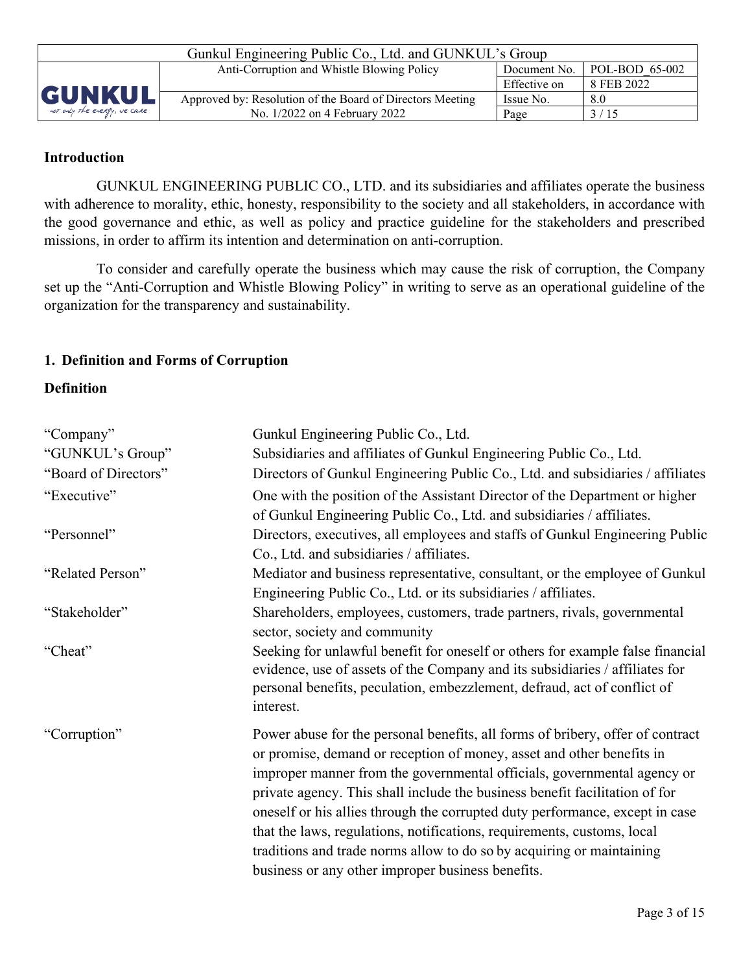| Gunkul Engineering Public Co., Ltd. and GUNKUL's Group                         |                                                           |              |            |  |
|--------------------------------------------------------------------------------|-----------------------------------------------------------|--------------|------------|--|
| $POL-BOD 65-002$<br>Anti-Corruption and Whistle Blowing Policy<br>Document No. |                                                           |              |            |  |
|                                                                                |                                                           | Effective on | 8 FEB 2022 |  |
| <b>GUNKUL</b>                                                                  | Approved by: Resolution of the Board of Directors Meeting | Issue No.    | 8.0        |  |
| not only the energy, we care                                                   | No. 1/2022 on 4 February 2022                             | Page         | 3/15       |  |

## **Introduction**

GUNKUL ENGINEERING PUBLIC CO., LTD. and its subsidiaries and affiliates operate the business with adherence to morality, ethic, honesty, responsibility to the society and all stakeholders, in accordance with the good governance and ethic, as well as policy and practice guideline for the stakeholders and prescribed missions, in order to affirm its intention and determination on anti-corruption.

To consider and carefully operate the business which may cause the risk of corruption, the Company set up the "Anti-Corruption and Whistle Blowing Policy" in writing to serve as an operational guideline of the organization for the transparency and sustainability.

## **1. Definition and Forms of Corruption**

### **Definition**

| "Company"<br>"GUNKUL's Group" | Gunkul Engineering Public Co., Ltd.<br>Subsidiaries and affiliates of Gunkul Engineering Public Co., Ltd.                                                                                                                                                                                                                                                                                                                                                                                                                                                                                                  |
|-------------------------------|------------------------------------------------------------------------------------------------------------------------------------------------------------------------------------------------------------------------------------------------------------------------------------------------------------------------------------------------------------------------------------------------------------------------------------------------------------------------------------------------------------------------------------------------------------------------------------------------------------|
| "Board of Directors"          | Directors of Gunkul Engineering Public Co., Ltd. and subsidiaries / affiliates                                                                                                                                                                                                                                                                                                                                                                                                                                                                                                                             |
| "Executive"                   | One with the position of the Assistant Director of the Department or higher<br>of Gunkul Engineering Public Co., Ltd. and subsidiaries / affiliates.                                                                                                                                                                                                                                                                                                                                                                                                                                                       |
| "Personnel"                   | Directors, executives, all employees and staffs of Gunkul Engineering Public<br>Co., Ltd. and subsidiaries / affiliates.                                                                                                                                                                                                                                                                                                                                                                                                                                                                                   |
| "Related Person"              | Mediator and business representative, consultant, or the employee of Gunkul<br>Engineering Public Co., Ltd. or its subsidiaries / affiliates.                                                                                                                                                                                                                                                                                                                                                                                                                                                              |
| "Stakeholder"                 | Shareholders, employees, customers, trade partners, rivals, governmental<br>sector, society and community                                                                                                                                                                                                                                                                                                                                                                                                                                                                                                  |
| "Cheat"                       | Seeking for unlawful benefit for oneself or others for example false financial<br>evidence, use of assets of the Company and its subsidiaries / affiliates for<br>personal benefits, peculation, embezzlement, defraud, act of conflict of<br>interest.                                                                                                                                                                                                                                                                                                                                                    |
| "Corruption"                  | Power abuse for the personal benefits, all forms of bribery, offer of contract<br>or promise, demand or reception of money, asset and other benefits in<br>improper manner from the governmental officials, governmental agency or<br>private agency. This shall include the business benefit facilitation of for<br>oneself or his allies through the corrupted duty performance, except in case<br>that the laws, regulations, notifications, requirements, customs, local<br>traditions and trade norms allow to do so by acquiring or maintaining<br>business or any other improper business benefits. |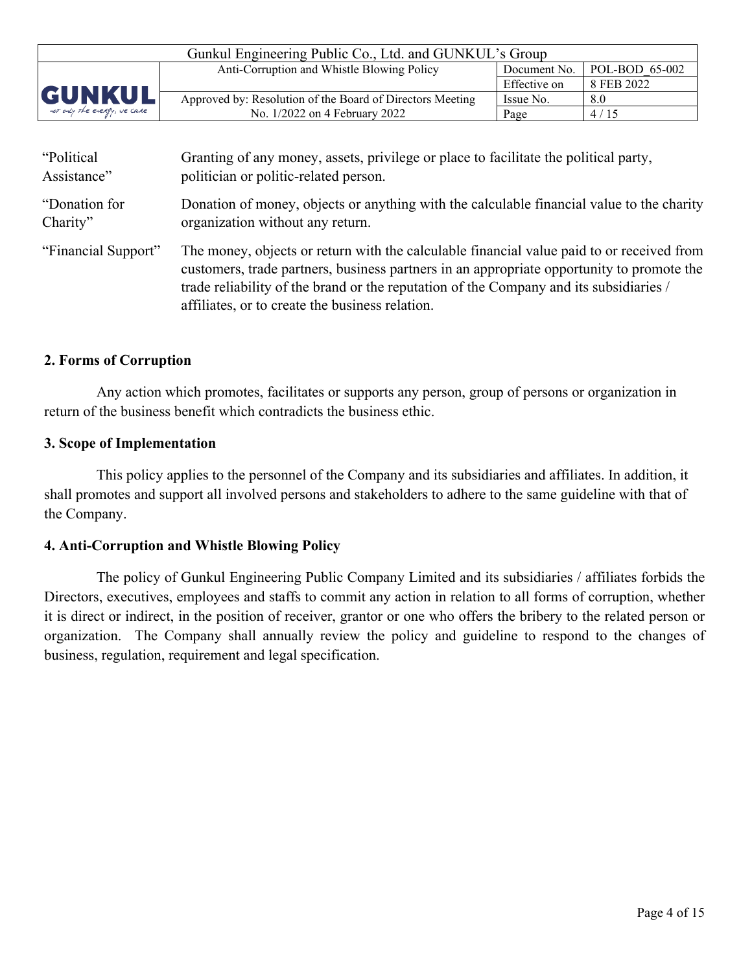| Gunkul Engineering Public Co., Ltd. and GUNKUL's Group                              |                                                           |              |            |  |
|-------------------------------------------------------------------------------------|-----------------------------------------------------------|--------------|------------|--|
| $\mid$ POL-BOD 65-002<br>Anti-Corruption and Whistle Blowing Policy<br>Document No. |                                                           |              |            |  |
|                                                                                     |                                                           | Effective on | 8 FEB 2022 |  |
| <b>GUNKUL</b>                                                                       | Approved by: Resolution of the Board of Directors Meeting | Issue No.    | 8.0        |  |
| not only the energy, we care                                                        | No. 1/2022 on 4 February 2022                             | Page         | 4/15       |  |

| "Political          | Granting of any money, assets, privilege or place to facilitate the political party,                                                                                                                                                                                                                                                |
|---------------------|-------------------------------------------------------------------------------------------------------------------------------------------------------------------------------------------------------------------------------------------------------------------------------------------------------------------------------------|
| Assistance"         | politician or politic-related person.                                                                                                                                                                                                                                                                                               |
| "Donation for       | Donation of money, objects or anything with the calculable financial value to the charity                                                                                                                                                                                                                                           |
| Charity"            | organization without any return.                                                                                                                                                                                                                                                                                                    |
| "Financial Support" | The money, objects or return with the calculable financial value paid to or received from<br>customers, trade partners, business partners in an appropriate opportunity to promote the<br>trade reliability of the brand or the reputation of the Company and its subsidiaries /<br>affiliates, or to create the business relation. |

## **2. Forms of Corruption**

Any action which promotes, facilitates or supports any person, group of persons or organization in return of the business benefit which contradicts the business ethic.

### **3. Scope of Implementation**

This policy applies to the personnel of the Company and its subsidiaries and affiliates. In addition, it shall promotes and support all involved persons and stakeholders to adhere to the same guideline with that of the Company.

### **4. Anti-Corruption and Whistle Blowing Policy**

The policy of Gunkul Engineering Public Company Limited and its subsidiaries / affiliates forbids the Directors, executives, employees and staffs to commit any action in relation to all forms of corruption, whether it is direct or indirect, in the position of receiver, grantor or one who offers the bribery to the related person or organization. The Company shall annually review the policy and guideline to respond to the changes of business, regulation, requirement and legal specification.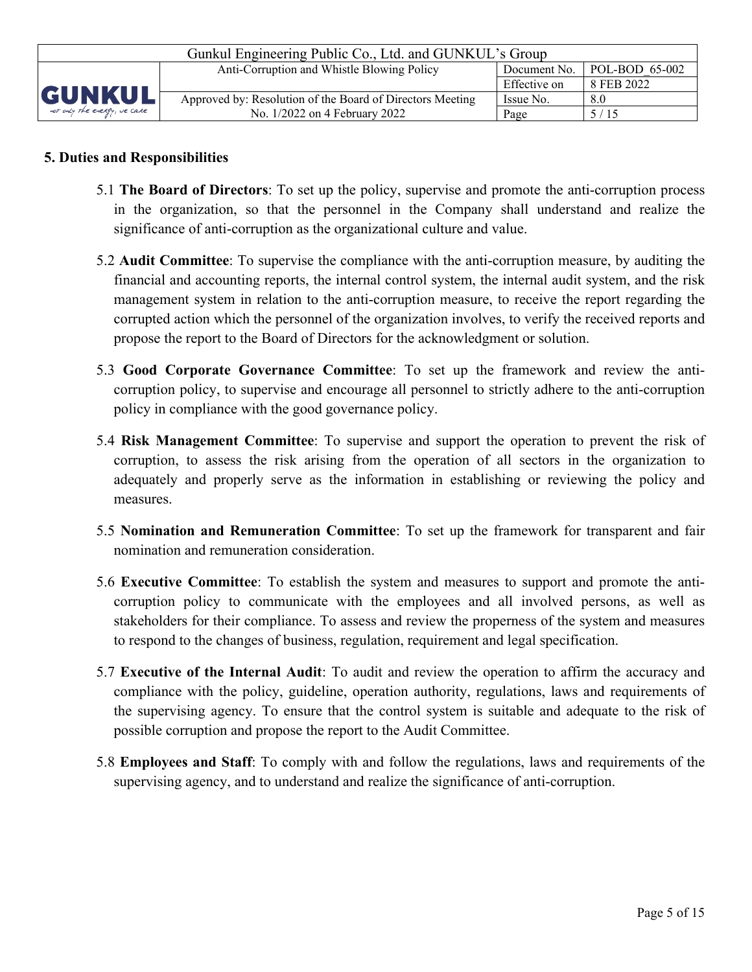| Gunkul Engineering Public Co., Ltd. and GUNKUL's Group |                                                                                      |              |            |  |  |
|--------------------------------------------------------|--------------------------------------------------------------------------------------|--------------|------------|--|--|
|                                                        | $\vert$ POL-BOD 65-002<br>Anti-Corruption and Whistle Blowing Policy<br>Document No. |              |            |  |  |
|                                                        |                                                                                      | Effective on | 8 FEB 2022 |  |  |
| GUNKUL                                                 | Approved by: Resolution of the Board of Directors Meeting                            | Issue No.    | 8.0        |  |  |
| not only the energy, we care                           | No. 1/2022 on 4 February 2022                                                        | Page         | 5/15       |  |  |

## **5. Duties and Responsibilities**

- 5.1 **The Board of Directors**: To set up the policy, supervise and promote the anti-corruption process in the organization, so that the personnel in the Company shall understand and realize the significance of anti-corruption as the organizational culture and value.
- 5.2 **Audit Committee**: To supervise the compliance with the anti-corruption measure, by auditing the financial and accounting reports, the internal control system, the internal audit system, and the risk management system in relation to the anti-corruption measure, to receive the report regarding the corrupted action which the personnel of the organization involves, to verify the received reports and propose the report to the Board of Directors for the acknowledgment or solution.
- 5.3 **Good Corporate Governance Committee**: To set up the framework and review the anticorruption policy, to supervise and encourage all personnel to strictly adhere to the anti-corruption policy in compliance with the good governance policy.
- 5.4 **Risk Management Committee**: To supervise and support the operation to prevent the risk of corruption, to assess the risk arising from the operation of all sectors in the organization to adequately and properly serve as the information in establishing or reviewing the policy and measures.
- 5.5 **Nomination and Remuneration Committee**: To set up the framework for transparent and fair nomination and remuneration consideration.
- 5.6 **Executive Committee**: To establish the system and measures to support and promote the anticorruption policy to communicate with the employees and all involved persons, as well as stakeholders for their compliance. To assess and review the properness of the system and measures to respond to the changes of business, regulation, requirement and legal specification.
- 5.7 **Executive of the Internal Audit**: To audit and review the operation to affirm the accuracy and compliance with the policy, guideline, operation authority, regulations, laws and requirements of the supervising agency. To ensure that the control system is suitable and adequate to the risk of possible corruption and propose the report to the Audit Committee.
- 5.8 **Employees and Staff**: To comply with and follow the regulations, laws and requirements of the supervising agency, and to understand and realize the significance of anti-corruption.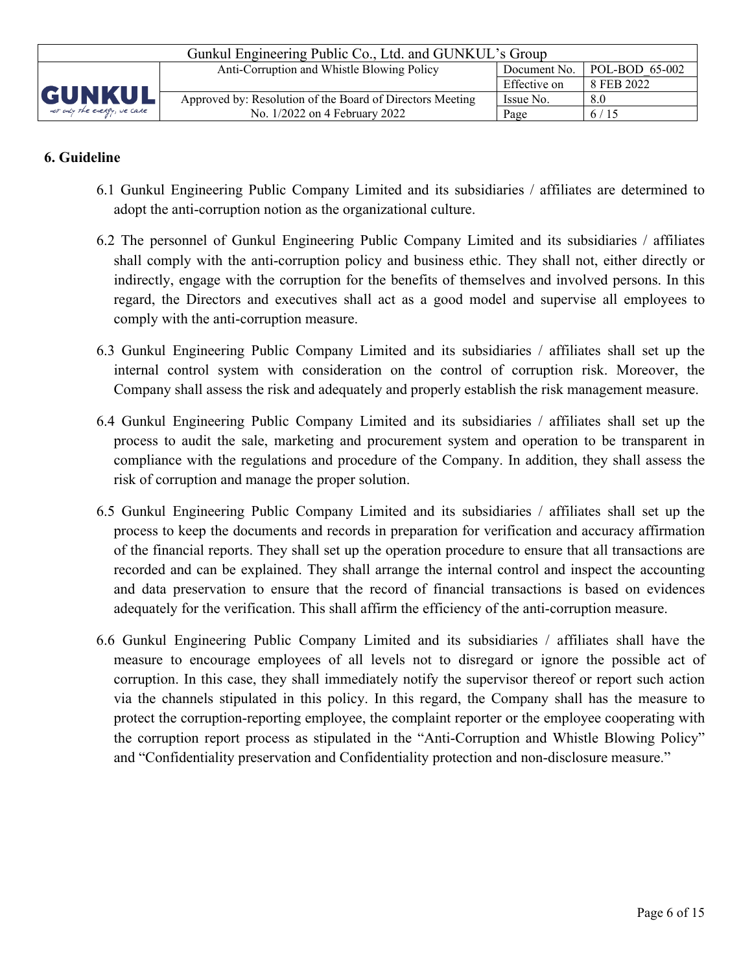| Gunkul Engineering Public Co., Ltd. and GUNKUL's Group |                                                                                      |              |            |  |  |
|--------------------------------------------------------|--------------------------------------------------------------------------------------|--------------|------------|--|--|
|                                                        | $\vert$ POL-BOD 65-002<br>Anti-Corruption and Whistle Blowing Policy<br>Document No. |              |            |  |  |
|                                                        |                                                                                      | Effective on | 8 FEB 2022 |  |  |
| <b>GUNKUL</b>                                          | Approved by: Resolution of the Board of Directors Meeting                            | Issue No.    | 8.0        |  |  |
| not only the energy, we care                           | No. 1/2022 on 4 February 2022                                                        | Page         | 6/15       |  |  |

# **6. Guideline**

- 6.1 Gunkul Engineering Public Company Limited and its subsidiaries / affiliates are determined to adopt the anti-corruption notion as the organizational culture.
- 6.2 The personnel of Gunkul Engineering Public Company Limited and its subsidiaries / affiliates shall comply with the anti-corruption policy and business ethic. They shall not, either directly or indirectly, engage with the corruption for the benefits of themselves and involved persons. In this regard, the Directors and executives shall act as a good model and supervise all employees to comply with the anti-corruption measure.
- 6.3 Gunkul Engineering Public Company Limited and its subsidiaries / affiliates shall set up the internal control system with consideration on the control of corruption risk. Moreover, the Company shall assess the risk and adequately and properly establish the risk management measure.
- 6.4 Gunkul Engineering Public Company Limited and its subsidiaries / affiliates shall set up the process to audit the sale, marketing and procurement system and operation to be transparent in compliance with the regulations and procedure of the Company. In addition, they shall assess the risk of corruption and manage the proper solution.
- 6.5 Gunkul Engineering Public Company Limited and its subsidiaries / affiliates shall set up the process to keep the documents and records in preparation for verification and accuracy affirmation of the financial reports. They shall set up the operation procedure to ensure that all transactions are recorded and can be explained. They shall arrange the internal control and inspect the accounting and data preservation to ensure that the record of financial transactions is based on evidences adequately for the verification. This shall affirm the efficiency of the anti-corruption measure.
- 6.6 Gunkul Engineering Public Company Limited and its subsidiaries / affiliates shall have the measure to encourage employees of all levels not to disregard or ignore the possible act of corruption. In this case, they shall immediately notify the supervisor thereof or report such action via the channels stipulated in this policy. In this regard, the Company shall has the measure to protect the corruption-reporting employee, the complaint reporter or the employee cooperating with the corruption report process as stipulated in the "Anti-Corruption and Whistle Blowing Policy" and "Confidentiality preservation and Confidentiality protection and non-disclosure measure."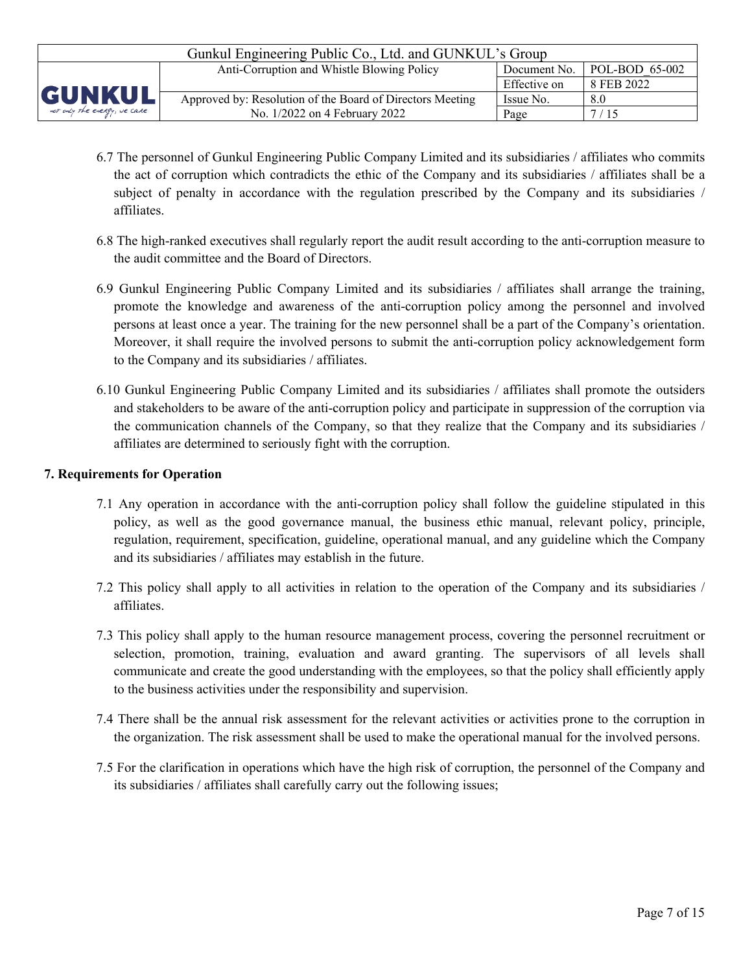| Gunkul Engineering Public Co., Ltd. and GUNKUL's Group                         |                                                           |              |            |  |
|--------------------------------------------------------------------------------|-----------------------------------------------------------|--------------|------------|--|
| $POL-BOD 65-002$<br>Anti-Corruption and Whistle Blowing Policy<br>Document No. |                                                           |              |            |  |
|                                                                                |                                                           | Effective on | 8 FEB 2022 |  |
| <b>GUNKUL</b>                                                                  | Approved by: Resolution of the Board of Directors Meeting | Issue No.    | 8.0        |  |
| not only the energy, we care                                                   | No. 1/2022 on 4 February 2022                             | Page         | 7/15       |  |

- 6.7 The personnel of Gunkul Engineering Public Company Limited and its subsidiaries / affiliates who commits the act of corruption which contradicts the ethic of the Company and its subsidiaries / affiliates shall be a subject of penalty in accordance with the regulation prescribed by the Company and its subsidiaries / affiliates.
- 6.8 The high-ranked executives shall regularly report the audit result according to the anti-corruption measure to the audit committee and the Board of Directors.
- 6.9 Gunkul Engineering Public Company Limited and its subsidiaries / affiliates shall arrange the training, promote the knowledge and awareness of the anti-corruption policy among the personnel and involved persons at least once a year. The training for the new personnel shall be a part of the Company's orientation. Moreover, it shall require the involved persons to submit the anti-corruption policy acknowledgement form to the Company and its subsidiaries / affiliates.
- 6.10 Gunkul Engineering Public Company Limited and its subsidiaries / affiliates shall promote the outsiders and stakeholders to be aware of the anti-corruption policy and participate in suppression of the corruption via the communication channels of the Company, so that they realize that the Company and its subsidiaries / affiliates are determined to seriously fight with the corruption.

#### **7. Requirements for Operation**

- 7.1 Any operation in accordance with the anti-corruption policy shall follow the guideline stipulated in this policy, as well as the good governance manual, the business ethic manual, relevant policy, principle, regulation, requirement, specification, guideline, operational manual, and any guideline which the Company and its subsidiaries / affiliates may establish in the future.
- 7.2 This policy shall apply to all activities in relation to the operation of the Company and its subsidiaries / affiliates.
- 7.3 This policy shall apply to the human resource management process, covering the personnel recruitment or selection, promotion, training, evaluation and award granting. The supervisors of all levels shall communicate and create the good understanding with the employees, so that the policy shall efficiently apply to the business activities under the responsibility and supervision.
- 7.4 There shall be the annual risk assessment for the relevant activities or activities prone to the corruption in the organization. The risk assessment shall be used to make the operational manual for the involved persons.
- 7.5 For the clarification in operations which have the high risk of corruption, the personnel of the Company and its subsidiaries / affiliates shall carefully carry out the following issues;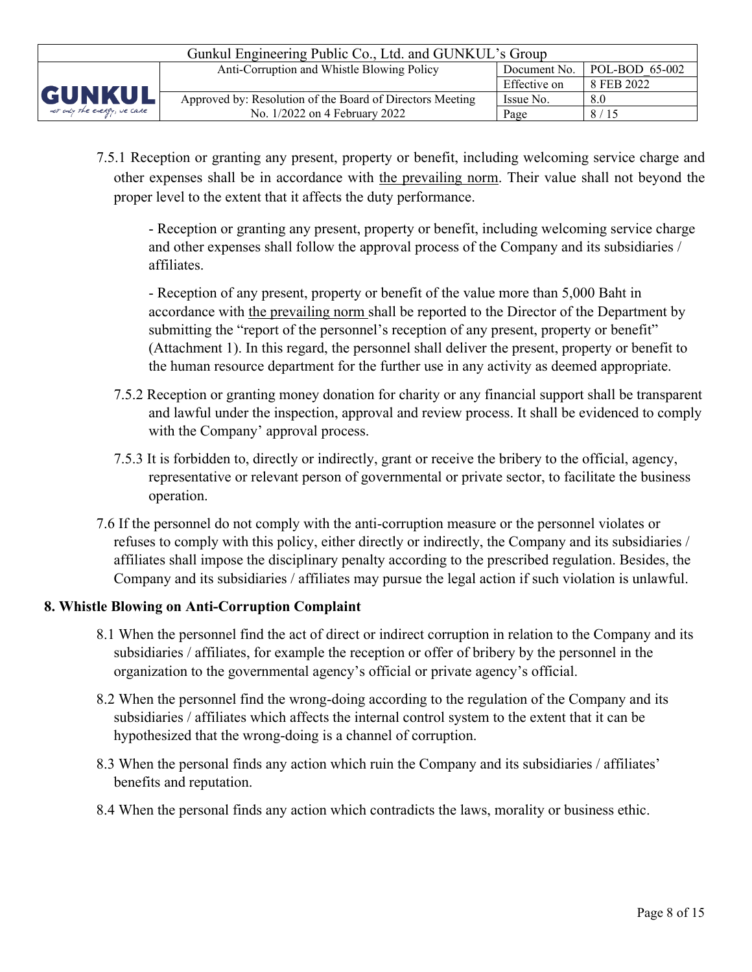| Gunkul Engineering Public Co., Ltd. and GUNKUL's Group                       |                                                           |              |            |  |
|------------------------------------------------------------------------------|-----------------------------------------------------------|--------------|------------|--|
| POL-BOD 65-002<br>Anti-Corruption and Whistle Blowing Policy<br>Document No. |                                                           |              |            |  |
|                                                                              |                                                           | Effective on | 8 FEB 2022 |  |
| <b>GUNKUL</b>                                                                | Approved by: Resolution of the Board of Directors Meeting | Issue No.    | 8.0        |  |
| not only the energy, we care                                                 | No. 1/2022 on 4 February 2022                             | Page         | 8/15       |  |

7.5.1 Reception or granting any present, property or benefit, including welcoming service charge and other expenses shall be in accordance with the prevailing norm. Their value shall not beyond the proper level to the extent that it affects the duty performance.

- Reception or granting any present, property or benefit, including welcoming service charge and other expenses shall follow the approval process of the Company and its subsidiaries / affiliates.

- Reception of any present, property or benefit of the value more than 5,000 Baht in accordance with the prevailing norm shall be reported to the Director of the Department by submitting the "report of the personnel's reception of any present, property or benefit" (Attachment 1). In this regard, the personnel shall deliver the present, property or benefit to the human resource department for the further use in any activity as deemed appropriate.

- 7.5.2 Reception or granting money donation for charity or any financial support shall be transparent and lawful under the inspection, approval and review process. It shall be evidenced to comply with the Company' approval process.
- 7.5.3 It is forbidden to, directly or indirectly, grant or receive the bribery to the official, agency, representative or relevant person of governmental or private sector, to facilitate the business operation.
- 7.6 If the personnel do not comply with the anti-corruption measure or the personnel violates or refuses to comply with this policy, either directly or indirectly, the Company and its subsidiaries / affiliates shall impose the disciplinary penalty according to the prescribed regulation. Besides, the Company and its subsidiaries / affiliates may pursue the legal action if such violation is unlawful.

# **8. Whistle Blowing on Anti-Corruption Complaint**

- 8.1 When the personnel find the act of direct or indirect corruption in relation to the Company and its subsidiaries / affiliates, for example the reception or offer of bribery by the personnel in the organization to the governmental agency's official or private agency's official.
- 8.2 When the personnel find the wrong-doing according to the regulation of the Company and its subsidiaries / affiliates which affects the internal control system to the extent that it can be hypothesized that the wrong-doing is a channel of corruption.
- 8.3 When the personal finds any action which ruin the Company and its subsidiaries / affiliates' benefits and reputation.
- 8.4 When the personal finds any action which contradicts the laws, morality or business ethic.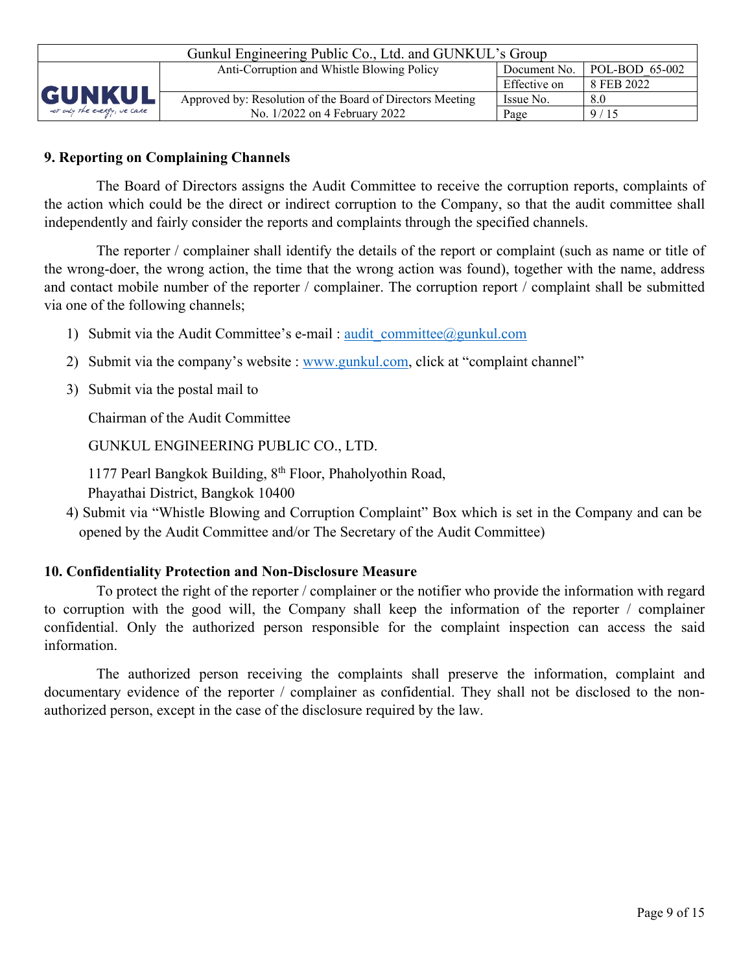| Gunkul Engineering Public Co., Ltd. and GUNKUL's Group |                                                                              |              |            |  |  |
|--------------------------------------------------------|------------------------------------------------------------------------------|--------------|------------|--|--|
|                                                        | POL-BOD 65-002<br>Anti-Corruption and Whistle Blowing Policy<br>Document No. |              |            |  |  |
|                                                        |                                                                              | Effective on | 8 FEB 2022 |  |  |
| <b>GUNKUL</b>                                          | Approved by: Resolution of the Board of Directors Meeting                    | Issue No.    | 8.0        |  |  |
| not only the energy, we care                           | No. 1/2022 on 4 February 2022                                                | Page         | 9/15       |  |  |

# **9. Reporting on Complaining Channels**

The Board of Directors assigns the Audit Committee to receive the corruption reports, complaints of the action which could be the direct or indirect corruption to the Company, so that the audit committee shall independently and fairly consider the reports and complaints through the specified channels.

The reporter / complainer shall identify the details of the report or complaint (such as name or title of the wrong-doer, the wrong action, the time that the wrong action was found), together with the name, address and contact mobile number of the reporter / complainer. The corruption report / complaint shall be submitted via one of the following channels;

- 1) Submit via the Audit Committee's e-mail : audit committee@gunkul.com
- 2) Submit via the company's website : [www.gunkul.com,](http://www.gunkul.com/) click at "complaint channel"
- 3) Submit via the postal mail to

Chairman of the Audit Committee

GUNKUL ENGINEERING PUBLIC CO., LTD.

1177 Pearl Bangkok Building, 8th Floor, Phaholyothin Road, Phayathai District, Bangkok 10400

4) Submit via "Whistle Blowing and Corruption Complaint" Box which is set in the Company and can be opened by the Audit Committee and/or The Secretary of the Audit Committee)

# **10. Confidentiality Protection and Non-Disclosure Measure**

To protect the right of the reporter / complainer or the notifier who provide the information with regard to corruption with the good will, the Company shall keep the information of the reporter / complainer confidential. Only the authorized person responsible for the complaint inspection can access the said information.

The authorized person receiving the complaints shall preserve the information, complaint and documentary evidence of the reporter / complainer as confidential. They shall not be disclosed to the nonauthorized person, except in the case of the disclosure required by the law.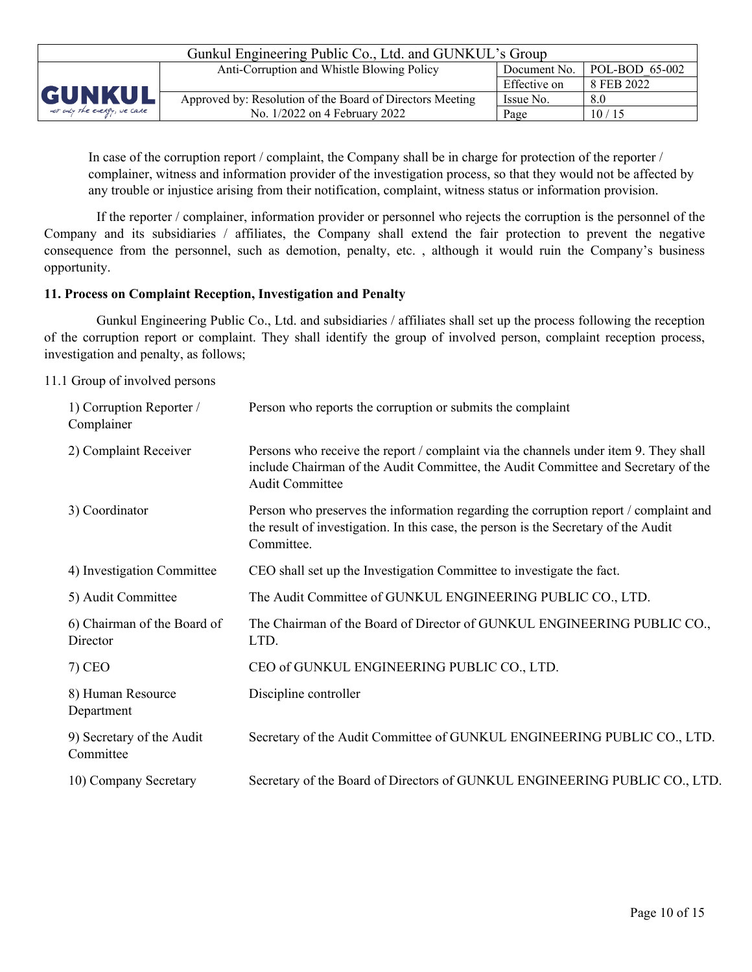| Gunkul Engineering Public Co., Ltd. and GUNKUL's Group |                                                           |              |                        |  |  |
|--------------------------------------------------------|-----------------------------------------------------------|--------------|------------------------|--|--|
|                                                        | Anti-Corruption and Whistle Blowing Policy                | Document No. | $\vert$ POL-BOD 65-002 |  |  |
|                                                        |                                                           | Effective on | 8 FEB 2022             |  |  |
| <b>GUNKUL</b>                                          | Approved by: Resolution of the Board of Directors Meeting | Issue No.    | 8.0                    |  |  |
| not only the energy, we care                           | No. 1/2022 on 4 February 2022                             | Page         | 10/15                  |  |  |

In case of the corruption report / complaint, the Company shall be in charge for protection of the reporter / complainer, witness and information provider of the investigation process, so that they would not be affected by any trouble or injustice arising from their notification, complaint, witness status or information provision.

If the reporter / complainer, information provider or personnel who rejects the corruption is the personnel of the Company and its subsidiaries / affiliates, the Company shall extend the fair protection to prevent the negative consequence from the personnel, such as demotion, penalty, etc. , although it would ruin the Company's business opportunity.

#### **11. Process on Complaint Reception, Investigation and Penalty**

Gunkul Engineering Public Co., Ltd. and subsidiaries / affiliates shall set up the process following the reception of the corruption report or complaint. They shall identify the group of involved person, complaint reception process, investigation and penalty, as follows;

11.1 Group of involved persons

| 1) Corruption Reporter /<br>Complainer  | Person who reports the corruption or submits the complaint                                                                                                                                          |
|-----------------------------------------|-----------------------------------------------------------------------------------------------------------------------------------------------------------------------------------------------------|
| 2) Complaint Receiver                   | Persons who receive the report / complaint via the channels under item 9. They shall<br>include Chairman of the Audit Committee, the Audit Committee and Secretary of the<br><b>Audit Committee</b> |
| 3) Coordinator                          | Person who preserves the information regarding the corruption report / complaint and<br>the result of investigation. In this case, the person is the Secretary of the Audit<br>Committee.           |
| 4) Investigation Committee              | CEO shall set up the Investigation Committee to investigate the fact.                                                                                                                               |
| 5) Audit Committee                      | The Audit Committee of GUNKUL ENGINEERING PUBLIC CO., LTD.                                                                                                                                          |
| 6) Chairman of the Board of<br>Director | The Chairman of the Board of Director of GUNKUL ENGINEERING PUBLIC CO.,<br>LTD.                                                                                                                     |
| $7)$ CEO                                | CEO of GUNKUL ENGINEERING PUBLIC CO., LTD.                                                                                                                                                          |
| 8) Human Resource<br>Department         | Discipline controller                                                                                                                                                                               |
| 9) Secretary of the Audit<br>Committee  | Secretary of the Audit Committee of GUNKUL ENGINEERING PUBLIC CO., LTD.                                                                                                                             |
| 10) Company Secretary                   | Secretary of the Board of Directors of GUNKUL ENGINEERING PUBLIC CO., LTD.                                                                                                                          |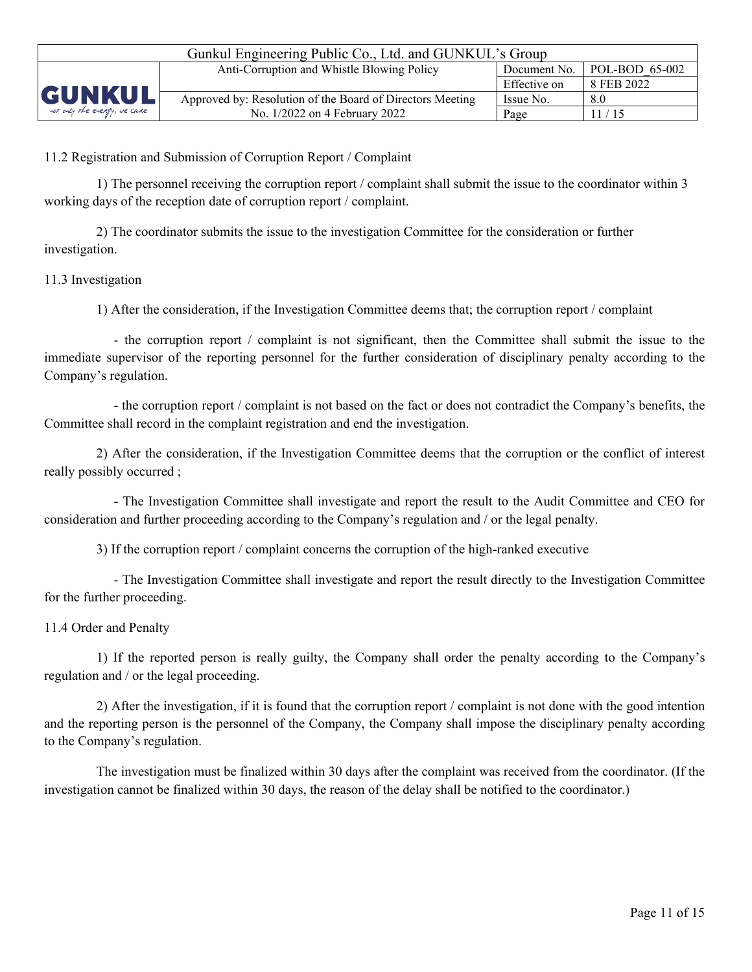| Gunkul Engineering Public Co., Ltd. and GUNKUL's Group                                         |                                                                                     |              |            |  |  |
|------------------------------------------------------------------------------------------------|-------------------------------------------------------------------------------------|--------------|------------|--|--|
|                                                                                                | $\mid$ POL-BOD 65-002<br>Anti-Corruption and Whistle Blowing Policy<br>Document No. |              |            |  |  |
|                                                                                                |                                                                                     | Effective on | 8 FEB 2022 |  |  |
| <b>GUNKUL</b><br>Approved by: Resolution of the Board of Directors Meeting<br>Issue No.<br>8.0 |                                                                                     |              |            |  |  |
| not only the energy, we care                                                                   | No. 1/2022 on 4 February 2022                                                       | Page         | 11/15      |  |  |

11.2 Registration and Submission of Corruption Report / Complaint

1) The personnel receiving the corruption report / complaint shall submit the issue to the coordinator within 3 working days of the reception date of corruption report / complaint.

2) The coordinator submits the issue to the investigation Committee for the consideration or further investigation.

11.3 Investigation

1) After the consideration, if the Investigation Committee deems that; the corruption report / complaint

- the corruption report / complaint is not significant, then the Committee shall submit the issue to the immediate supervisor of the reporting personnel for the further consideration of disciplinary penalty according to the Company's regulation.

- the corruption report / complaint is not based on the fact or does not contradict the Company's benefits, the Committee shall record in the complaint registration and end the investigation.

2) After the consideration, if the Investigation Committee deems that the corruption or the conflict of interest really possibly occurred ;

- The Investigation Committee shall investigate and report the result to the Audit Committee and CEO for consideration and further proceeding according to the Company's regulation and / or the legal penalty.

3) If the corruption report / complaint concerns the corruption of the high-ranked executive

- The Investigation Committee shall investigate and report the result directly to the Investigation Committee for the further proceeding.

### 11.4 Order and Penalty

1) If the reported person is really guilty, the Company shall order the penalty according to the Company's regulation and / or the legal proceeding.

2) After the investigation, if it is found that the corruption report / complaint is not done with the good intention and the reporting person is the personnel of the Company, the Company shall impose the disciplinary penalty according to the Company's regulation.

The investigation must be finalized within 30 days after the complaint was received from the coordinator. (If the investigation cannot be finalized within 30 days, the reason of the delay shall be notified to the coordinator.)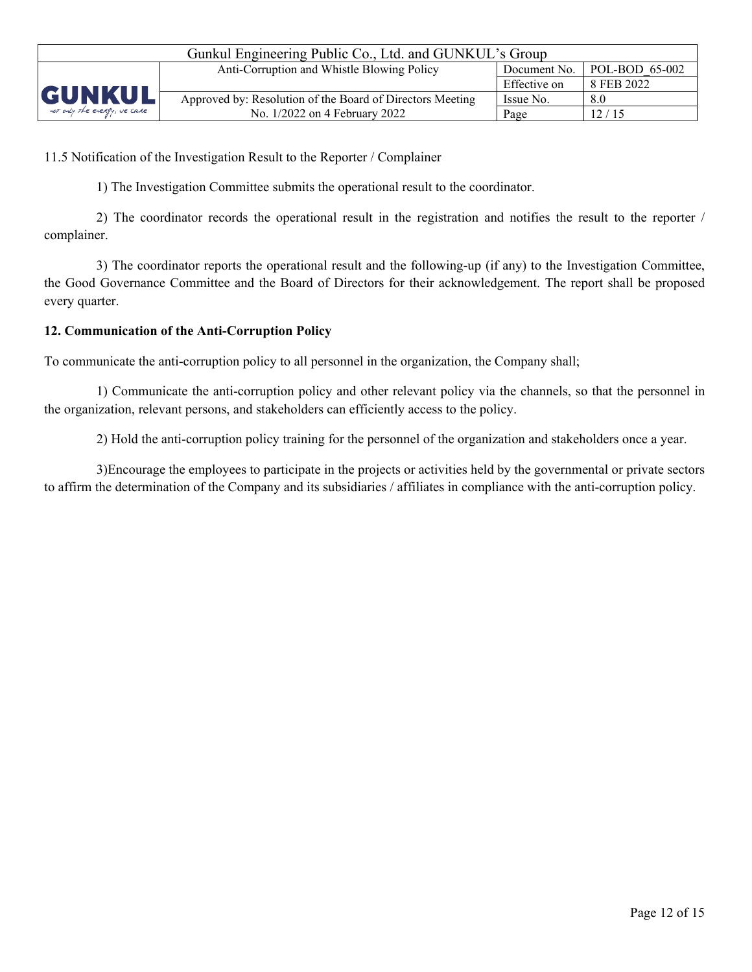| Gunkul Engineering Public Co., Ltd. and GUNKUL's Group |                                                           |              |                |  |  |
|--------------------------------------------------------|-----------------------------------------------------------|--------------|----------------|--|--|
|                                                        | Anti-Corruption and Whistle Blowing Policy                | Document No. | POL-BOD 65-002 |  |  |
|                                                        |                                                           | Effective on | 8 FEB 2022     |  |  |
| <b>GUNKUL</b>                                          | Approved by: Resolution of the Board of Directors Meeting | Issue No.    | 8.0            |  |  |
| not only the energy, we care                           | No. 1/2022 on 4 February 2022                             | Page         | 12/15          |  |  |

11.5 Notification of the Investigation Result to the Reporter / Complainer

1) The Investigation Committee submits the operational result to the coordinator.

2) The coordinator records the operational result in the registration and notifies the result to the reporter / complainer.

3) The coordinator reports the operational result and the following-up (if any) to the Investigation Committee, the Good Governance Committee and the Board of Directors for their acknowledgement. The report shall be proposed every quarter.

## **12. Communication of the Anti-Corruption Policy**

To communicate the anti-corruption policy to all personnel in the organization, the Company shall;

1) Communicate the anti-corruption policy and other relevant policy via the channels, so that the personnel in the organization, relevant persons, and stakeholders can efficiently access to the policy.

2) Hold the anti-corruption policy training for the personnel of the organization and stakeholders once a year.

3)Encourage the employees to participate in the projects or activities held by the governmental or private sectors to affirm the determination of the Company and its subsidiaries / affiliates in compliance with the anti-corruption policy.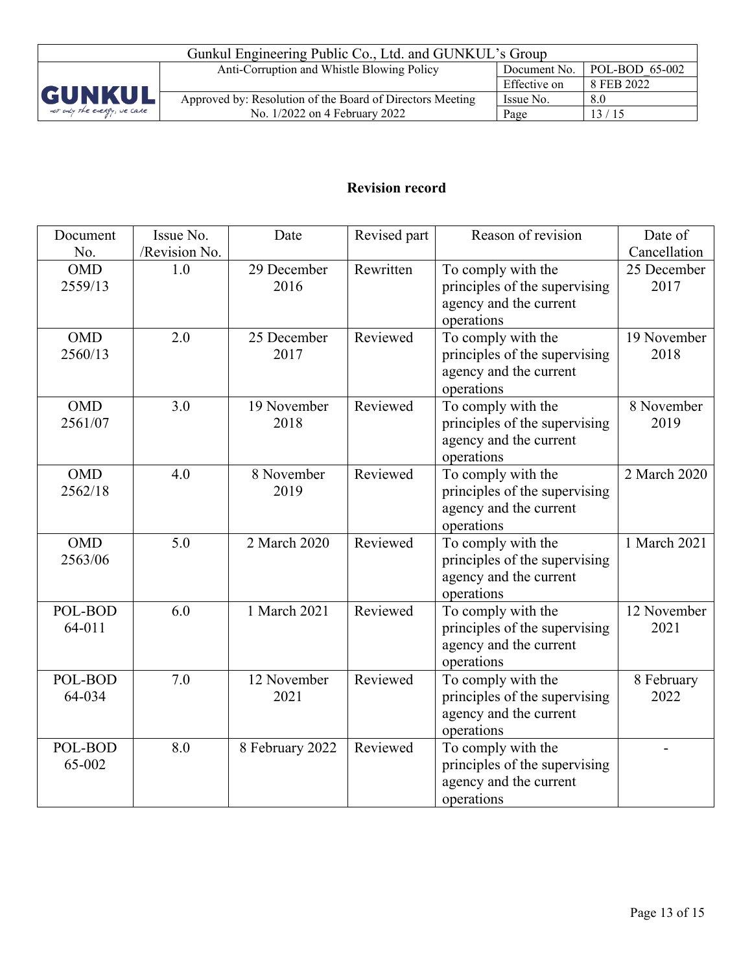| Gunkul Engineering Public Co., Ltd. and GUNKUL's Group |                                                                                      |              |            |  |  |
|--------------------------------------------------------|--------------------------------------------------------------------------------------|--------------|------------|--|--|
|                                                        | $\vert$ POL-BOD 65-002<br>Anti-Corruption and Whistle Blowing Policy<br>Document No. |              |            |  |  |
|                                                        |                                                                                      | Effective on | 8 FEB 2022 |  |  |
| <b>GUNKUL</b>                                          | Approved by: Resolution of the Board of Directors Meeting                            | Issue No.    | 8.0        |  |  |
| not only the energy, we care                           | No. 1/2022 on 4 February 2022                                                        | Page         | 13/15      |  |  |

# **Revision record**

| Document   | Issue No.     | Date            | Revised part | Reason of revision                   | Date of      |
|------------|---------------|-----------------|--------------|--------------------------------------|--------------|
| No.        | /Revision No. |                 |              |                                      | Cancellation |
| <b>OMD</b> | 1.0           | 29 December     | Rewritten    | To comply with the                   | 25 December  |
| 2559/13    |               | 2016            |              | principles of the supervising        | 2017         |
|            |               |                 |              | agency and the current               |              |
|            |               |                 |              | operations                           |              |
| <b>OMD</b> | 2.0           | 25 December     | Reviewed     | To comply with the                   | 19 November  |
| 2560/13    |               | 2017            |              | principles of the supervising        | 2018         |
|            |               |                 |              | agency and the current               |              |
|            |               |                 |              | operations                           |              |
| <b>OMD</b> | 3.0           | 19 November     | Reviewed     | To comply with the                   | 8 November   |
| 2561/07    |               | 2018            |              | principles of the supervising        | 2019         |
|            |               |                 |              | agency and the current<br>operations |              |
| <b>OMD</b> | 4.0           | 8 November      | Reviewed     | To comply with the                   | 2 March 2020 |
| 2562/18    |               | 2019            |              | principles of the supervising        |              |
|            |               |                 |              | agency and the current               |              |
|            |               |                 |              | operations                           |              |
| <b>OMD</b> | 5.0           | 2 March 2020    | Reviewed     | To comply with the                   | 1 March 2021 |
| 2563/06    |               |                 |              | principles of the supervising        |              |
|            |               |                 |              | agency and the current               |              |
|            |               |                 |              | operations                           |              |
| POL-BOD    | 6.0           | 1 March 2021    | Reviewed     | To comply with the                   | 12 November  |
| 64-011     |               |                 |              | principles of the supervising        | 2021         |
|            |               |                 |              | agency and the current               |              |
|            |               |                 |              | operations                           |              |
| POL-BOD    | 7.0           | 12 November     | Reviewed     | To comply with the                   | 8 February   |
| 64-034     |               | 2021            |              | principles of the supervising        | 2022         |
|            |               |                 |              | agency and the current               |              |
|            |               |                 |              | operations                           |              |
| POL-BOD    | 8.0           | 8 February 2022 | Reviewed     | To comply with the                   |              |
| 65-002     |               |                 |              | principles of the supervising        |              |
|            |               |                 |              | agency and the current               |              |
|            |               |                 |              | operations                           |              |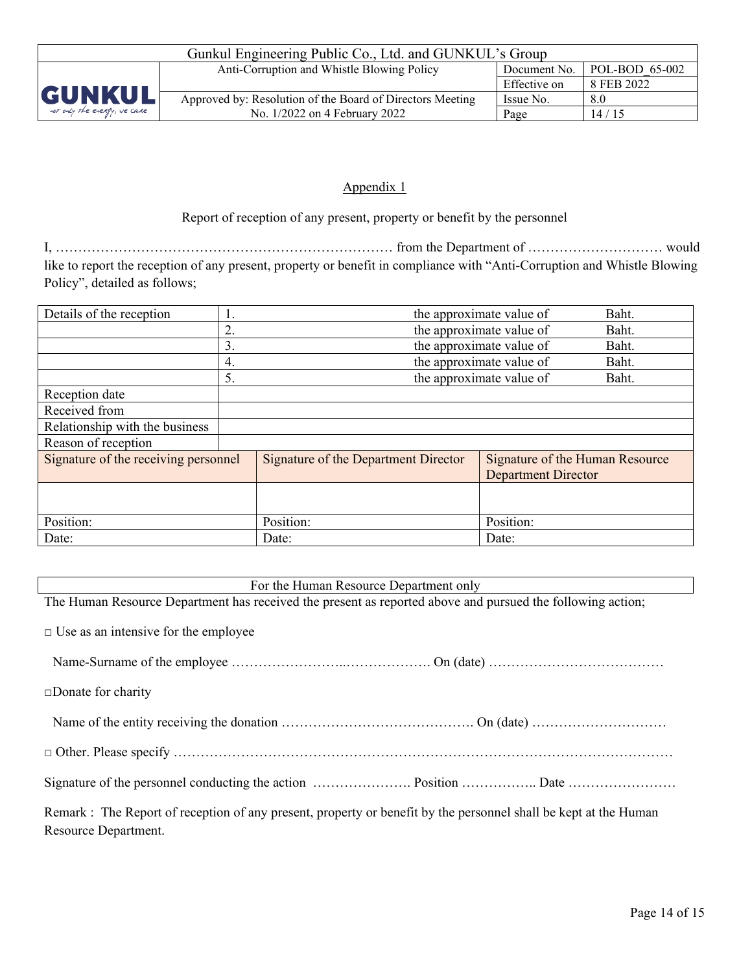| Gunkul Engineering Public Co., Ltd. and GUNKUL's Group |                                                                              |              |            |  |  |
|--------------------------------------------------------|------------------------------------------------------------------------------|--------------|------------|--|--|
|                                                        | POL-BOD 65-002<br>Anti-Corruption and Whistle Blowing Policy<br>Document No. |              |            |  |  |
|                                                        |                                                                              | Effective on | 8 FEB 2022 |  |  |
| <b>GUNKUL</b>                                          | Approved by: Resolution of the Board of Directors Meeting                    | Issue No.    | 8.0        |  |  |
| not only the energy, we care                           | No. 1/2022 on 4 February 2022                                                | Page         | 14/15      |  |  |

### Appendix 1

Report of reception of any present, property or benefit by the personnel

I, ………………………………………………………………… from the Department of ………………………… would like to report the reception of any present, property or benefit in compliance with "Anti-Corruption and Whistle Blowing Policy", detailed as follows;

| Details of the reception             | the approximate value of<br>Baht. |                                             |                                 |       |
|--------------------------------------|-----------------------------------|---------------------------------------------|---------------------------------|-------|
|                                      | 2.                                | the approximate value of<br>Baht.           |                                 |       |
|                                      | 3.                                |                                             | the approximate value of        | Baht. |
|                                      | 4.                                |                                             | the approximate value of        | Baht. |
|                                      | 5.                                |                                             | the approximate value of        | Baht. |
| Reception date                       |                                   |                                             |                                 |       |
| Received from                        |                                   |                                             |                                 |       |
| Relationship with the business       |                                   |                                             |                                 |       |
| Reason of reception                  |                                   |                                             |                                 |       |
| Signature of the receiving personnel |                                   | <b>Signature of the Department Director</b> | Signature of the Human Resource |       |
|                                      |                                   |                                             | <b>Department Director</b>      |       |
|                                      |                                   |                                             |                                 |       |
|                                      |                                   |                                             |                                 |       |
| Position:                            |                                   | Position:                                   | Position:                       |       |
| Date:                                |                                   | Date:                                       | Date:                           |       |

For the Human Resource Department only

The Human Resource Department has received the present as reported above and pursued the following action;

 $\Box$  Use as an intensive for the employee

|--|--|

□Donate for charity

Name of the entity receiving the donation ……………………………………. On (date) …………………………

□ Other. Please specify …………………………………………………………………………………………………

Signature of the personnel conducting the action …………………. Position …………….. Date ……………………

Remark : The Report of reception of any present, property or benefit by the personnel shall be kept at the Human Resource Department.